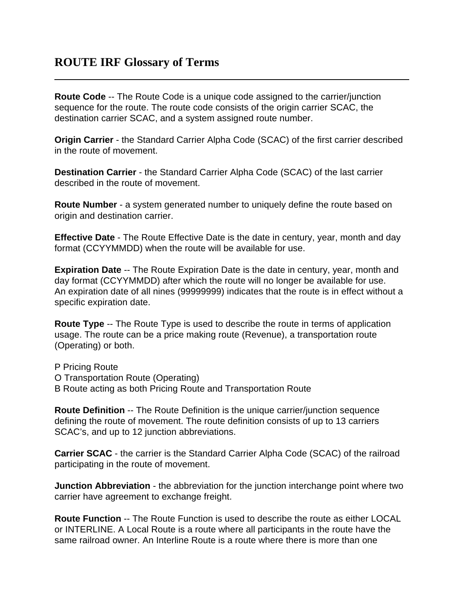**Route Code** -- The Route Code is a unique code assigned to the carrier/junction sequence for the route. The route code consists of the origin carrier SCAC, the destination carrier SCAC, and a system assigned route number.

**Origin Carrier** - the Standard Carrier Alpha Code (SCAC) of the first carrier described in the route of movement.

**Destination Carrier** - the Standard Carrier Alpha Code (SCAC) of the last carrier described in the route of movement.

**Route Number** - a system generated number to uniquely define the route based on origin and destination carrier.

**Effective Date** - The Route Effective Date is the date in century, year, month and day format (CCYYMMDD) when the route will be available for use.

**Expiration Date** -- The Route Expiration Date is the date in century, year, month and day format (CCYYMMDD) after which the route will no longer be available for use. An expiration date of all nines (99999999) indicates that the route is in effect without a specific expiration date.

**Route Type** -- The Route Type is used to describe the route in terms of application usage. The route can be a price making route (Revenue), a transportation route (Operating) or both.

P Pricing Route O Transportation Route (Operating) B Route acting as both Pricing Route and Transportation Route

**Route Definition** -- The Route Definition is the unique carrier/junction sequence defining the route of movement. The route definition consists of up to 13 carriers SCAC's, and up to 12 junction abbreviations.

**Carrier SCAC** - the carrier is the Standard Carrier Alpha Code (SCAC) of the railroad participating in the route of movement.

**Junction Abbreviation** - the abbreviation for the junction interchange point where two carrier have agreement to exchange freight.

**Route Function** -- The Route Function is used to describe the route as either LOCAL or INTERLINE. A Local Route is a route where all participants in the route have the same railroad owner. An Interline Route is a route where there is more than one